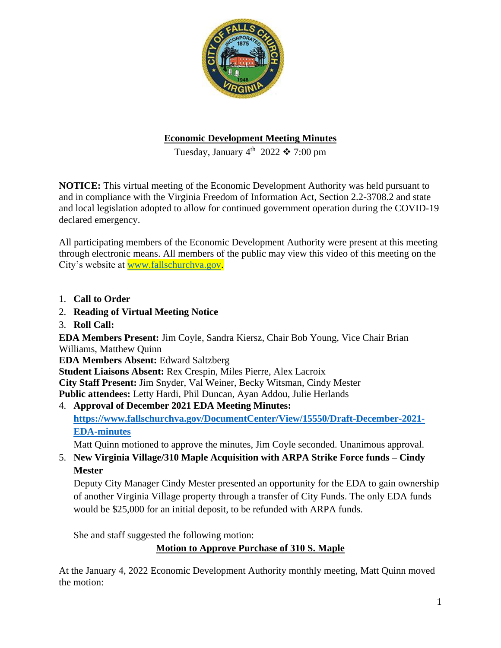

## **Economic Development Meeting Minutes**

Tuesday, January  $4^{\text{th}}$  2022  $\clubsuit$  7:00 pm

**NOTICE:** This virtual meeting of the Economic Development Authority was held pursuant to and in compliance with the Virginia Freedom of Information Act, Section 2.2-3708.2 and state and local legislation adopted to allow for continued government operation during the COVID-19 declared emergency.

All participating members of the Economic Development Authority were present at this meeting through electronic means. All members of the public may view this video of this meeting on the City's website at [www.fallschurchva.gov.](http://www.fallschurchva.gov/)

- 1. **Call to Order**
- 2. **Reading of Virtual Meeting Notice**
- 3. **Roll Call:**

**EDA Members Present:** Jim Coyle, Sandra Kiersz, Chair Bob Young, Vice Chair Brian Williams, Matthew Quinn

**EDA Members Absent:** Edward Saltzberg

**Student Liaisons Absent:** Rex Crespin, Miles Pierre, Alex Lacroix

**City Staff Present:** Jim Snyder, Val Weiner, Becky Witsman, Cindy Mester

**Public attendees:** Letty Hardi, Phil Duncan, Ayan Addou, Julie Herlands

4. **Approval of December 2021 EDA Meeting Minutes: [https://www.fallschurchva.gov/DocumentCenter/View/15550/Draft-December-2021-](https://www.fallschurchva.gov/DocumentCenter/View/15550/Draft-December-2021-EDA-minutes) [EDA-minutes](https://www.fallschurchva.gov/DocumentCenter/View/15550/Draft-December-2021-EDA-minutes)**

Matt Quinn motioned to approve the minutes, Jim Coyle seconded. Unanimous approval.

5. **New Virginia Village/310 Maple Acquisition with ARPA Strike Force funds – Cindy Mester**

Deputy City Manager Cindy Mester presented an opportunity for the EDA to gain ownership of another Virginia Village property through a transfer of City Funds. The only EDA funds would be \$25,000 for an initial deposit, to be refunded with ARPA funds.

She and staff suggested the following motion:

**Motion to Approve Purchase of 310 S. Maple**

At the January 4, 2022 Economic Development Authority monthly meeting, Matt Quinn moved the motion: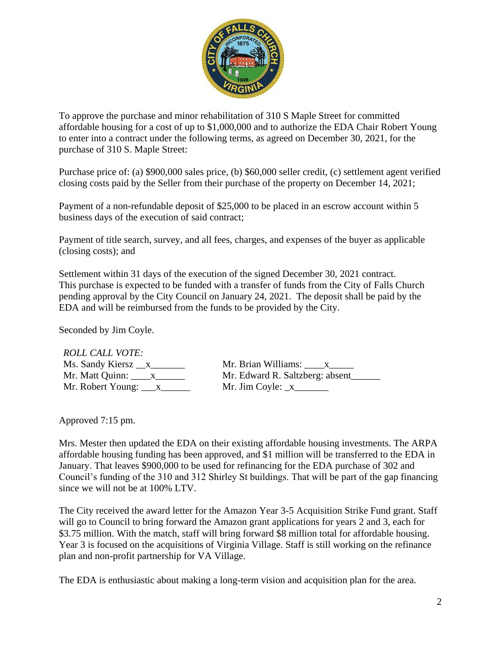

To approve the purchase and minor rehabilitation of 310 S Maple Street for committed affordable housing for a cost of up to \$1,000,000 and to authorize the EDA Chair Robert Young to enter into a contract under the following terms, as agreed on December 30, 2021, for the purchase of 310 S. Maple Street:

Purchase price of: (a) \$900,000 sales price, (b) \$60,000 seller credit, (c) settlement agent verified closing costs paid by the Seller from their purchase of the property on December 14, 2021;

Payment of a non-refundable deposit of \$25,000 to be placed in an escrow account within 5 business days of the execution of said contract;

Payment of title search, survey, and all fees, charges, and expenses of the buyer as applicable (closing costs); and

Settlement within 31 days of the execution of the signed December 30, 2021 contract. This purchase is expected to be funded with a transfer of funds from the City of Falls Church pending approval by the City Council on January 24, 2021. The deposit shall be paid by the EDA and will be reimbursed from the funds to be provided by the City.

Seconded by Jim Coyle.

*ROLL CALL VOTE:*

| <i>ROLL CALL VOTE:</i>         |                                 |
|--------------------------------|---------------------------------|
|                                | Mr. Brian Williams: x           |
| Mr. Matt Quinn: X              | Mr. Edward R. Saltzberg: absent |
| Mr. Robert Young: $\mathbf{x}$ | Mr. Jim Coyle: $x$              |

Approved 7:15 pm.

Mrs. Mester then updated the EDA on their existing affordable housing investments. The ARPA affordable housing funding has been approved, and \$1 million will be transferred to the EDA in January. That leaves \$900,000 to be used for refinancing for the EDA purchase of 302 and Council's funding of the 310 and 312 Shirley St buildings. That will be part of the gap financing since we will not be at 100% LTV.

The City received the award letter for the Amazon Year 3-5 Acquisition Strike Fund grant. Staff will go to Council to bring forward the Amazon grant applications for years 2 and 3, each for \$3.75 million. With the match, staff will bring forward \$8 million total for affordable housing. Year 3 is focused on the acquisitions of Virginia Village. Staff is still working on the refinance plan and non-profit partnership for VA Village.

The EDA is enthusiastic about making a long-term vision and acquisition plan for the area.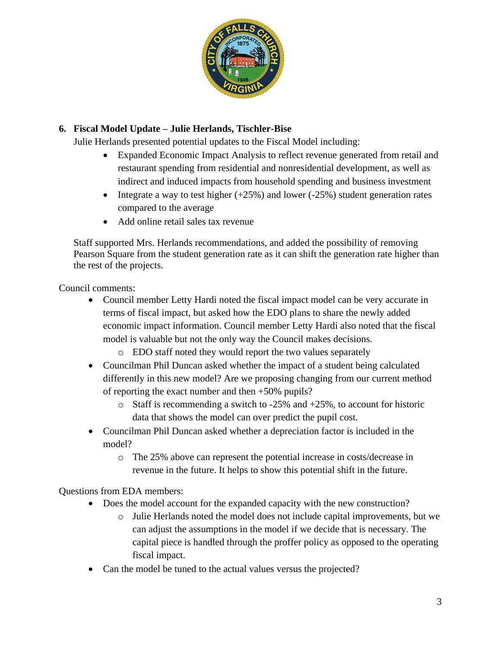

# **6. Fiscal Model Update – Julie Herlands, Tischler-Bise**

Julie Herlands presented potential updates to the Fiscal Model including:

- Expanded Economic Impact Analysis to reflect revenue generated from retail and restaurant spending from residential and nonresidential development, as well as indirect and induced impacts from household spending and business investment
- Integrate a way to test higher  $(+25%)$  and lower  $(-25%)$  student generation rates compared to the average
- Add online retail sales tax revenue

Staff supported Mrs. Herlands recommendations, and added the possibility of removing Pearson Square from the student generation rate as it can shift the generation rate higher than the rest of the projects.

Council comments:

- Council member Letty Hardi noted the fiscal impact model can be very accurate in terms of fiscal impact, but asked how the EDO plans to share the newly added economic impact information. Council member Letty Hardi also noted that the fiscal model is valuable but not the only way the Council makes decisions.
	- o EDO staff noted they would report the two values separately
- Councilman Phil Duncan asked whether the impact of a student being calculated differently in this new model? Are we proposing changing from our current method of reporting the exact number and then +50% pupils?
	- $\circ$  Staff is recommending a switch to -25% and +25%, to account for historic data that shows the model can over predict the pupil cost.
- Councilman Phil Duncan asked whether a depreciation factor is included in the model?
	- o The 25% above can represent the potential increase in costs/decrease in revenue in the future. It helps to show this potential shift in the future.

Questions from EDA members:

- Does the model account for the expanded capacity with the new construction?
	- o Julie Herlands noted the model does not include capital improvements, but we can adjust the assumptions in the model if we decide that is necessary. The capital piece is handled through the proffer policy as opposed to the operating fiscal impact.
- Can the model be tuned to the actual values versus the projected?